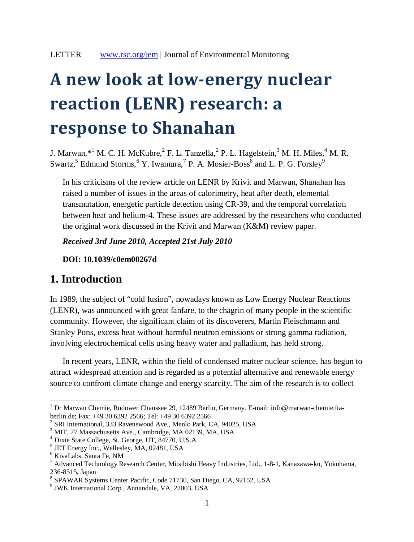# **A new look at low-energy nuclear reaction (LENR) research: a response to Shanahan**

J. Marwan, $^{*1}$  $^{*1}$  $^{*1}$  M. C. H. McKubre, $^{2}$  $^{2}$  $^{2}$  F. L. Tanzella, $^{2}$  P. L. Hagelstein, $^{3}$  $^{3}$  $^{3}$  M. H. Miles, $^{4}$  $^{4}$  $^{4}$  M. R. Sw[a](#page-0-7)rtz,  $^5$  $^5$  Edmund Storms,  $^6$  [Y](#page-0-5). Iwamura,  $^7$  $^7$  P. A. Mosier-Boss  $^8$  and L. P. G. Forsley  $^9$  $^9$ 

In his criticisms of the review article on LENR by Krivit and Marwan, Shanahan has raised a number of issues in the areas of calorimetry, heat after death, elemental transmutation, energetic particle detection using CR-39, and the temporal correlation between heat and helium-4. These issues are addressed by the researchers who conducted the original work discussed in the Krivit and Marwan (K&M) review paper.

*Received 3rd June 2010, Accepted 21st July 2010*

**DOI: 10.1039/c0em00267d**

## **1. Introduction**

In 1989, the subject of "cold fusion", nowadays known as Low Energy Nuclear Reactions (LENR), was announced with great fanfare, to the chagrin of many people in the scientific community. However, the significant claim of its discoverers, Martin Fleischmann and Stanley Pons, excess heat without harmful neutron emissions or strong gamma radiation, involving electrochemical cells using heavy water and palladium, has held strong.

In recent years, LENR, within the field of condensed matter nuclear science, has begun to attract widespread attention and is regarded as a potential alternative and renewable energy source to confront climate change and energy scarcity. The aim of the research is to collect

<span id="page-0-0"></span><sup>&</sup>lt;sup>1</sup> Dr Marwan Chemie, Rudower Chaussee 29, 12489 Berlin, Germany. E-mail: info@marwan-chemie.ftaberlin.de; Fax: +49 30 6392 2566; Tel: +49 30 6392 2566

<span id="page-0-2"></span><span id="page-0-1"></span><sup>2</sup> SRI International, 333 Ravenswood Ave., Menlo Park, CA, 94025, USA

<span id="page-0-3"></span><sup>3</sup> MIT, 77 Massachusetts Ave., Cambridge, MA 02139, MA, USA

<span id="page-0-4"></span><sup>4</sup> Dixie State College, St. George, UT, 84770, U.S.A

<span id="page-0-5"></span><sup>5</sup> JET Energy Inc., Wellesley, MA, 02481, USA

<span id="page-0-6"></span><sup>6</sup> KivaLabs, Santa Fe, NM

<sup>7</sup> Advanced Technology Research Center, Mitsibishi Heavy Industries, Ltd., 1-8-1, Kanazawa-ku, Yokohama, 236-8515, Japan

<span id="page-0-8"></span><span id="page-0-7"></span><sup>8</sup> SPAWAR Systems Center Pacific, Code 71730, San Diego, CA, 92152, USA

<sup>9</sup> JWK International Corp., Annandale, VA, 22003, USA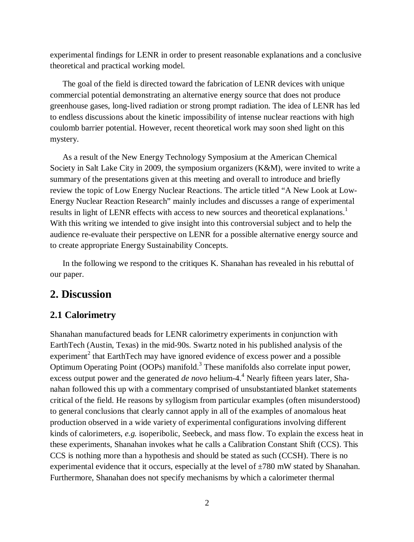experimental findings for LENR in order to present reasonable explanations and a conclusive theoretical and practical working model.

The goal of the field is directed toward the fabrication of LENR devices with unique commercial potential demonstrating an alternative energy source that does not produce greenhouse gases, long-lived radiation or strong prompt radiation. The idea of LENR has led to endless discussions about the kinetic impossibility of intense nuclear reactions with high coulomb barrier potential. However, recent theoretical work may soon shed light on this mystery.

As a result of the New Energy Technology Symposium at the American Chemical Society in Salt Lake City in 2009, the symposium organizers (K&M), were invited to write a summary of the presentations given at this meeting and overall to introduce and briefly review the topic of Low Energy Nuclear Reactions. The article titled "A New Look at Low-Energy Nuclear Reaction Research" mainly includes and discusses a range of experimental results in light of LENR effects with access to new sources and theoretical explanations.<sup>1</sup> With this writing we intended to give insight into this controversial subject and to help the audience re-evaluate their perspective on LENR for a possible alternative energy source and to create appropriate Energy Sustainability Concepts.

In the following we respond to the critiques K. Shanahan has revealed in his rebuttal of our paper.

# **2. Discussion**

## **2.1 Calorimetry**

Shanahan manufactured beads for LENR calorimetry experiments in conjunction with EarthTech (Austin, Texas) in the mid-90s. Swartz noted in his published analysis of the experiment<sup>2</sup> that EarthTech may have ignored evidence of excess power and a possible Optimum Operating Point (OOPs) manifold.<sup>3</sup> These manifolds also correlate input power, excess output power and the generated *de novo* helium-4.<sup>4</sup> Nearly fifteen years later, Shanahan followed this up with a commentary comprised of unsubstantiated blanket statements critical of the field. He reasons by syllogism from particular examples (often misunderstood) to general conclusions that clearly cannot apply in all of the examples of anomalous heat production observed in a wide variety of experimental configurations involving different kinds of calorimeters, *e.g.* isoperibolic, Seebeck, and mass flow. To explain the excess heat in these experiments, Shanahan invokes what he calls a Calibration Constant Shift (CCS). This CCS is nothing more than a hypothesis and should be stated as such (CCSH). There is no experimental evidence that it occurs, especially at the level of  $\pm 780$  mW stated by Shanahan. Furthermore, Shanahan does not specify mechanisms by which a calorimeter thermal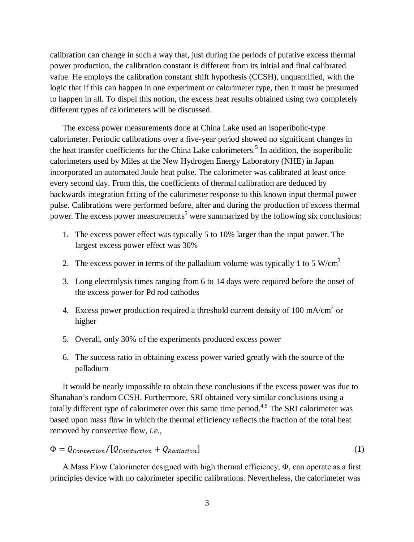calibration can change in such a way that, just during the periods of putative excess thermal power production, the calibration constant is different from its initial and final calibrated value. He employs the calibration constant shift hypothesis (CCSH), unquantified, with the logic that if this can happen in one experiment or calorimeter type, then it must be presumed to happen in all. To dispel this notion, the excess heat results obtained using two completely different types of calorimeters will be discussed.

The excess power measurements done at China Lake used an isoperibolic-type calorimeter. Periodic calibrations over a five-year period showed no significant changes in the heat transfer coefficients for the China Lake calorimeters.<sup>5</sup> In addition, the isoperibolic calorimeters used by Miles at the New Hydrogen Energy Laboratory (NHE) in Japan incorporated an automated Joule heat pulse. The calorimeter was calibrated at least once every second day. From this, the coefficients of thermal calibration are deduced by backwards integration fitting of the calorimeter response to this known input thermal power pulse. Calibrations were performed before, after and during the production of excess thermal power. The excess power measurements<sup>5</sup> were summarized by the following six conclusions:

- 1. The excess power effect was typically 5 to 10% larger than the input power. The largest excess power effect was 30%
- 2. The excess power in terms of the palladium volume was typically 1 to 5 W/cm<sup>3</sup>
- 3. Long electrolysis times ranging from 6 to 14 days were required before the onset of the excess power for Pd rod cathodes
- 4. Excess power production required a threshold current density of 100 mA/cm<sup>2</sup> or higher
- 5. Overall, only 30% of the experiments produced excess power
- 6. The success ratio in obtaining excess power varied greatly with the source of the palladium

It would be nearly impossible to obtain these conclusions if the excess power was due to Shanahan's random CCSH. Furthermore, SRI obtained very similar conclusions using a totally different type of calorimeter over this same time period.<sup>4,5</sup> The SRI calorimeter was based upon mass flow in which the thermal efficiency reflects the fraction of the total heat removed by convective flow, *i.e.*,

$$
\Phi = Q_{convection}/[Q_{Conduction} + Q_{Radiation}] \tag{1}
$$

A Mass Flow Calorimeter designed with high thermal efficiency, Φ, can operate as a first principles device with no calorimeter specific calibrations. Nevertheless, the calorimeter was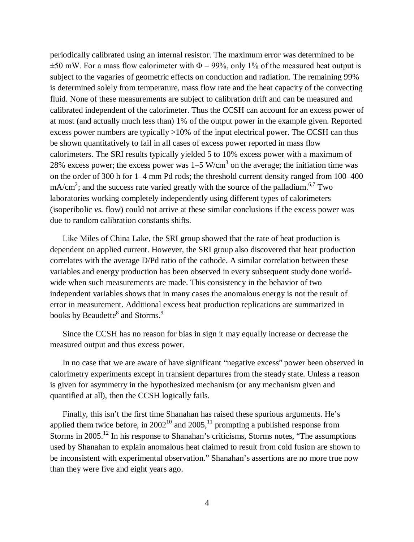periodically calibrated using an internal resistor. The maximum error was determined to be  $\pm$ 50 mW. For a mass flow calorimeter with  $\Phi$  = 99%, only 1% of the measured heat output is subject to the vagaries of geometric effects on conduction and radiation. The remaining 99% is determined solely from temperature, mass flow rate and the heat capacity of the convecting fluid. None of these measurements are subject to calibration drift and can be measured and calibrated independent of the calorimeter. Thus the CCSH can account for an excess power of at most (and actually much less than) 1% of the output power in the example given. Reported excess power numbers are typically >10% of the input electrical power. The CCSH can thus be shown quantitatively to fail in all cases of excess power reported in mass flow calorimeters. The SRI results typically yielded 5 to 10% excess power with a maximum of 28% excess power; the excess power was  $1-5$  W/cm<sup>3</sup> on the average; the initiation time was on the order of 300 h for 1–4 mm Pd rods; the threshold current density ranged from 100–400 mA/cm<sup>2</sup>; and the success rate varied greatly with the source of the palladium.<sup>6,7</sup> Two laboratories working completely independently using different types of calorimeters (isoperibolic *vs.* flow) could not arrive at these similar conclusions if the excess power was due to random calibration constants shifts.

Like Miles of China Lake, the SRI group showed that the rate of heat production is dependent on applied current. However, the SRI group also discovered that heat production correlates with the average D/Pd ratio of the cathode. A similar correlation between these variables and energy production has been observed in every subsequent study done worldwide when such measurements are made. This consistency in the behavior of two independent variables shows that in many cases the anomalous energy is not the result of error in measurement. Additional excess heat production replications are summarized in books by Beaudette $^8$  and Storms. $^9$ 

Since the CCSH has no reason for bias in sign it may equally increase or decrease the measured output and thus excess power.

In no case that we are aware of have significant "negative excess" power been observed in calorimetry experiments except in transient departures from the steady state. Unless a reason is given for asymmetry in the hypothesized mechanism (or any mechanism given and quantified at all), then the CCSH logically fails.

Finally, this isn't the first time Shanahan has raised these spurious arguments. He's applied them twice before, in  $2002^{10}$  and  $2005$ ,  $^{11}$  prompting a published response from Storms in 2005.<sup>12</sup> In his response to Shanahan's criticisms, Storms notes, "The assumptions" used by Shanahan to explain anomalous heat claimed to result from cold fusion are shown to be inconsistent with experimental observation." Shanahan's assertions are no more true now than they were five and eight years ago.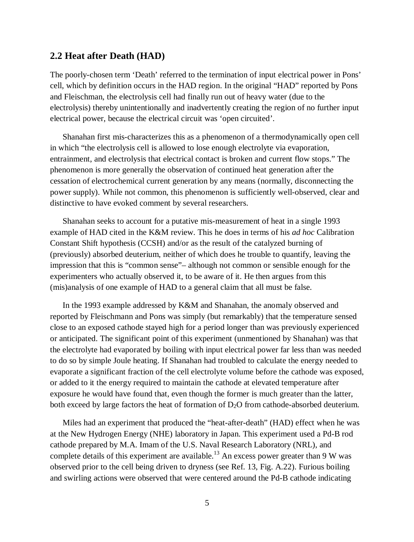#### **2.2 Heat after Death (HAD)**

The poorly-chosen term 'Death' referred to the termination of input electrical power in Pons' cell, which by definition occurs in the HAD region. In the original "HAD" reported by Pons and Fleischman, the electrolysis cell had finally run out of heavy water (due to the electrolysis) thereby unintentionally and inadvertently creating the region of no further input electrical power, because the electrical circuit was 'open circuited'.

Shanahan first mis-characterizes this as a phenomenon of a thermodynamically open cell in which "the electrolysis cell is allowed to lose enough electrolyte via evaporation, entrainment, and electrolysis that electrical contact is broken and current flow stops." The phenomenon is more generally the observation of continued heat generation after the cessation of electrochemical current generation by any means (normally, disconnecting the power supply). While not common, this phenomenon is sufficiently well-observed, clear and distinctive to have evoked comment by several researchers.

Shanahan seeks to account for a putative mis-measurement of heat in a single 1993 example of HAD cited in the K&M review. This he does in terms of his *ad hoc* Calibration Constant Shift hypothesis (CCSH) and/or as the result of the catalyzed burning of (previously) absorbed deuterium, neither of which does he trouble to quantify, leaving the impression that this is "common sense"– although not common or sensible enough for the experimenters who actually observed it, to be aware of it. He then argues from this (mis)analysis of one example of HAD to a general claim that all must be false.

In the 1993 example addressed by K&M and Shanahan, the anomaly observed and reported by Fleischmann and Pons was simply (but remarkably) that the temperature sensed close to an exposed cathode stayed high for a period longer than was previously experienced or anticipated. The significant point of this experiment (unmentioned by Shanahan) was that the electrolyte had evaporated by boiling with input electrical power far less than was needed to do so by simple Joule heating. If Shanahan had troubled to calculate the energy needed to evaporate a significant fraction of the cell electrolyte volume before the cathode was exposed, or added to it the energy required to maintain the cathode at elevated temperature after exposure he would have found that, even though the former is much greater than the latter, both exceed by large factors the heat of formation of  $D_2O$  from cathode-absorbed deuterium.

Miles had an experiment that produced the "heat-after-death" (HAD) effect when he was at the New Hydrogen Energy (NHE) laboratory in Japan. This experiment used a Pd-B rod cathode prepared by M.A. Imam of the U.S. Naval Research Laboratory (NRL), and complete details of this experiment are available.<sup>13</sup> An excess power greater than 9 W was observed prior to the cell being driven to dryness (see Ref. 13, Fig. A.22). Furious boiling and swirling actions were observed that were centered around the Pd-B cathode indicating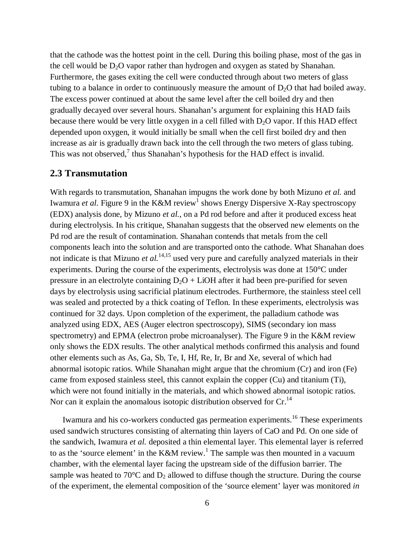that the cathode was the hottest point in the cell. During this boiling phase, most of the gas in the cell would be  $D_2O$  vapor rather than hydrogen and oxygen as stated by Shanahan. Furthermore, the gases exiting the cell were conducted through about two meters of glass tubing to a balance in order to continuously measure the amount of  $D_2O$  that had boiled away. The excess power continued at about the same level after the cell boiled dry and then gradually decayed over several hours. Shanahan's argument for explaining this HAD fails because there would be very little oxygen in a cell filled with  $D_2O$  vapor. If this HAD effect depended upon oxygen, it would initially be small when the cell first boiled dry and then increase as air is gradually drawn back into the cell through the two meters of glass tubing. This was not observed, $7$  thus Shanahan's hypothesis for the HAD effect is invalid.

#### **2.3 Transmutation**

With regards to transmutation, Shanahan impugns the work done by both Mizuno *et al.* and Iwamura *et al*. Figure 9 in the K&M review<sup>1</sup> shows Energy Dispersive X-Ray spectroscopy (EDX) analysis done, by Mizuno *et al.*, on a Pd rod before and after it produced excess heat during electrolysis. In his critique, Shanahan suggests that the observed new elements on the Pd rod are the result of contamination. Shanahan contends that metals from the cell components leach into the solution and are transported onto the cathode. What Shanahan does not indicate is that Mizuno *et al.*14,15 used very pure and carefully analyzed materials in their experiments. During the course of the experiments, electrolysis was done at 150°C under pressure in an electrolyte containing  $D_2O + LiOH$  after it had been pre-purified for seven days by electrolysis using sacrificial platinum electrodes. Furthermore, the stainless steel cell was sealed and protected by a thick coating of Teflon. In these experiments, electrolysis was continued for 32 days. Upon completion of the experiment, the palladium cathode was analyzed using EDX, AES (Auger electron spectroscopy), SIMS (secondary ion mass spectrometry) and EPMA (electron probe microanalyser). The Figure 9 in the K&M review only shows the EDX results. The other analytical methods confirmed this analysis and found other elements such as As, Ga, Sb, Te, I, Hf, Re, Ir, Br and Xe, several of which had abnormal isotopic ratios. While Shanahan might argue that the chromium (Cr) and iron (Fe) came from exposed stainless steel, this cannot explain the copper (Cu) and titanium (Ti), which were not found initially in the materials, and which showed abnormal isotopic ratios. Nor can it explain the anomalous isotopic distribution observed for  $Cr^{14}$ 

Iwamura and his co-workers conducted gas permeation experiments.<sup>16</sup> These experiments used sandwich structures consisting of alternating thin layers of CaO and Pd. On one side of the sandwich, Iwamura *et al.* deposited a thin elemental layer. This elemental layer is referred to as the 'source element' in the K&M review.<sup>1</sup> The sample was then mounted in a vacuum chamber, with the elemental layer facing the upstream side of the diffusion barrier. The sample was heated to 70 $\degree$ C and  $D_2$  allowed to diffuse though the structure. During the course of the experiment, the elemental composition of the 'source element' layer was monitored *in*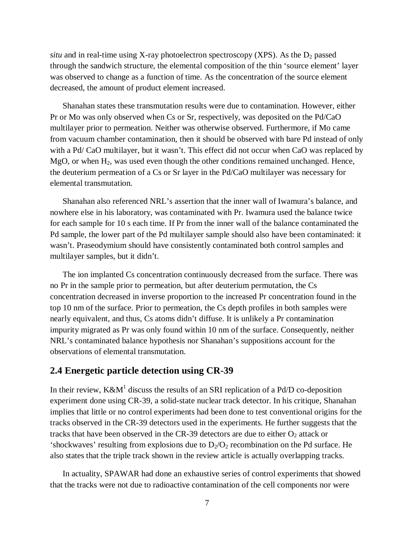*situ* and in real-time using X-ray photoelectron spectroscopy (XPS). As the  $D_2$  passed through the sandwich structure, the elemental composition of the thin 'source element' layer was observed to change as a function of time. As the concentration of the source element decreased, the amount of product element increased.

Shanahan states these transmutation results were due to contamination. However, either Pr or Mo was only observed when Cs or Sr, respectively, was deposited on the Pd/CaO multilayer prior to permeation. Neither was otherwise observed. Furthermore, if Mo came from vacuum chamber contamination, then it should be observed with bare Pd instead of only with a Pd/ CaO multilayer, but it wasn't. This effect did not occur when CaO was replaced by MgO, or when  $H_2$ , was used even though the other conditions remained unchanged. Hence, the deuterium permeation of a Cs or Sr layer in the Pd/CaO multilayer was necessary for elemental transmutation.

Shanahan also referenced NRL's assertion that the inner wall of Iwamura's balance, and nowhere else in his laboratory, was contaminated with Pr. Iwamura used the balance twice for each sample for 10 s each time. If Pr from the inner wall of the balance contaminated the Pd sample, the lower part of the Pd multilayer sample should also have been contaminated: it wasn't. Praseodymium should have consistently contaminated both control samples and multilayer samples, but it didn't.

The ion implanted Cs concentration continuously decreased from the surface. There was no Pr in the sample prior to permeation, but after deuterium permutation, the Cs concentration decreased in inverse proportion to the increased Pr concentration found in the top 10 nm of the surface. Prior to permeation, the Cs depth profiles in both samples were nearly equivalent, and thus, Cs atoms didn't diffuse. It is unlikely a Pr contamination impurity migrated as Pr was only found within 10 nm of the surface. Consequently, neither NRL's contaminated balance hypothesis nor Shanahan's suppositions account for the observations of elemental transmutation.

#### **2.4 Energetic particle detection using CR-39**

In their review,  $K\&M<sup>1</sup>$  discuss the results of an SRI replication of a Pd/D co-deposition experiment done using CR-39, a solid-state nuclear track detector. In his critique, Shanahan implies that little or no control experiments had been done to test conventional origins for the tracks observed in the CR-39 detectors used in the experiments. He further suggests that the tracks that have been observed in the CR-39 detectors are due to either  $O_2$  attack or 'shockwaves' resulting from explosions due to  $D_2/O_2$  recombination on the Pd surface. He also states that the triple track shown in the review article is actually overlapping tracks.

In actuality, SPAWAR had done an exhaustive series of control experiments that showed that the tracks were not due to radioactive contamination of the cell components nor were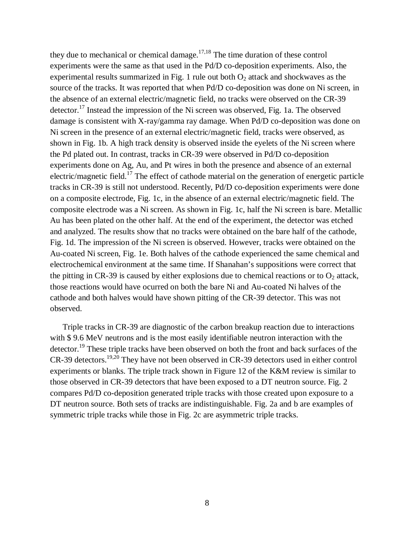they due to mechanical or chemical damage.<sup>17,18</sup> The time duration of these control experiments were the same as that used in the Pd/D co-deposition experiments. Also, the experimental results summarized in Fig. 1 rule out both  $O_2$  attack and shockwaves as the source of the tracks. It was reported that when Pd/D co-deposition was done on Ni screen, in the absence of an external electric/magnetic field, no tracks were observed on the CR-39 detector.<sup>17</sup> Instead the impression of the Ni screen was observed, Fig. 1a. The observed damage is consistent with X-ray/gamma ray damage. When Pd/D co-deposition was done on Ni screen in the presence of an external electric/magnetic field, tracks were observed, as shown in Fig. 1b. A high track density is observed inside the eyelets of the Ni screen where the Pd plated out. In contrast, tracks in CR-39 were observed in Pd/D co-deposition experiments done on Ag, Au, and Pt wires in both the presence and absence of an external electric/magnetic field.<sup>17</sup> The effect of cathode material on the generation of energetic particle tracks in CR-39 is still not understood. Recently, Pd/D co-deposition experiments were done on a composite electrode, Fig. 1c, in the absence of an external electric/magnetic field. The composite electrode was a Ni screen. As shown in Fig. 1c, half the Ni screen is bare. Metallic Au has been plated on the other half. At the end of the experiment, the detector was etched and analyzed. The results show that no tracks were obtained on the bare half of the cathode, Fig. 1d. The impression of the Ni screen is observed. However, tracks were obtained on the Au-coated Ni screen, Fig. 1e. Both halves of the cathode experienced the same chemical and electrochemical environment at the same time. If Shanahan's suppositions were correct that the pitting in CR-39 is caused by either explosions due to chemical reactions or to  $O_2$  attack, those reactions would have ocurred on both the bare Ni and Au-coated Ni halves of the cathode and both halves would have shown pitting of the CR-39 detector. This was not observed.

Triple tracks in CR-39 are diagnostic of the carbon breakup reaction due to interactions with \$ 9.6 MeV neutrons and is the most easily identifiable neutron interaction with the detector.<sup>19</sup> These triple tracks have been observed on both the front and back surfaces of the CR-39 detectors.19,20 They have not been observed in CR-39 detectors used in either control experiments or blanks. The triple track shown in Figure 12 of the K&M review is similar to those observed in CR-39 detectors that have been exposed to a DT neutron source. Fig. 2 compares Pd/D co-deposition generated triple tracks with those created upon exposure to a DT neutron source. Both sets of tracks are indistinguishable. Fig. 2a and b are examples of symmetric triple tracks while those in Fig. 2c are asymmetric triple tracks.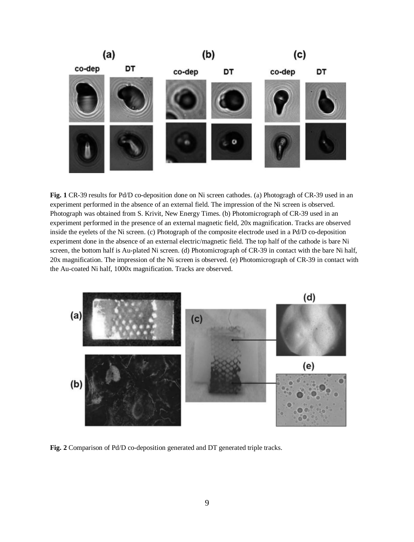

**Fig. 1** CR-39 results for Pd/D co-deposition done on Ni screen cathodes. (a) Photogragh of CR-39 used in an experiment performed in the absence of an external field. The impression of the Ni screen is observed. Photograph was obtained from S. Krivit, New Energy Times. (b) Photomicrograph of CR-39 used in an experiment performed in the presence of an external magnetic field, 20x magnification. Tracks are observed inside the eyelets of the Ni screen. (c) Photograph of the composite electrode used in a Pd/D co-deposition experiment done in the absence of an external electric/magnetic field. The top half of the cathode is bare Ni screen, the bottom half is Au-plated Ni screen. (d) Photomicrograph of CR-39 in contact with the bare Ni half, 20x magnification. The impression of the Ni screen is observed. (e) Photomicrograph of CR-39 in contact with the Au-coated Ni half, 1000x magnification. Tracks are observed.



**Fig. 2** Comparison of Pd/D co-deposition generated and DT generated triple tracks.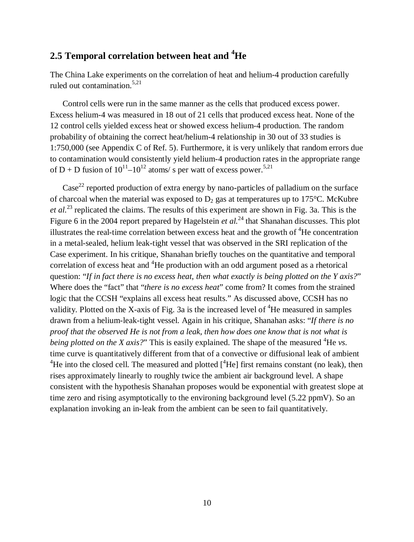## **2.5 Temporal correlation between heat and <sup>4</sup>He**

The China Lake experiments on the correlation of heat and helium-4 production carefully ruled out contamination.<sup>5,21</sup>

Control cells were run in the same manner as the cells that produced excess power. Excess helium-4 was measured in 18 out of 21 cells that produced excess heat. None of the 12 control cells yielded excess heat or showed excess helium-4 production. The random probability of obtaining the correct heat/helium-4 relationship in 30 out of 33 studies is 1:750,000 (see Appendix C of Ref. 5). Furthermore, it is very unlikely that random errors due to contamination would consistently yield helium-4 production rates in the appropriate range of D + D fusion of  $10^{11}$ – $10^{12}$  atoms/s per watt of excess power.<sup>5,21</sup>

 $\text{Case}^{22}$  reported production of extra energy by nano-particles of palladium on the surface of charcoal when the material was exposed to  $D_2$  gas at temperatures up to 175°C. McKubre *et al.*<sup>23</sup> replicated the claims. The results of this experiment are shown in Fig. 3a. This is the Figure 6 in the 2004 report prepared by Hagelstein *et al.*<sup>24</sup> that Shanahan discusses. This plot illustrates the real-time correlation between excess heat and the growth of  ${}^{4}$ He concentration in a metal-sealed, helium leak-tight vessel that was observed in the SRI replication of the Case experiment. In his critique, Shanahan briefly touches on the quantitative and temporal correlation of excess heat and <sup>4</sup>He production with an odd argument posed as a rhetorical question: "*If in fact there is no excess heat*, *then what exactly is being plotted on the Y axis?*" Where does the "fact" that "*there is no excess heat*" come from? It comes from the strained logic that the CCSH "explains all excess heat results." As discussed above, CCSH has no validity. Plotted on the X-axis of Fig. 3a is the increased level of  ${}^{4}$ He measured in samples drawn from a helium-leak-tight vessel. Again in his critique, Shanahan asks: "*If there is no proof that the observed He is not from a leak*, *then how does one know that is not what is being plotted on the X axis?*" This is easily explained. The shape of the measured <sup>4</sup>He *vs*. time curve is quantitatively different from that of a convective or diffusional leak of ambient <sup>4</sup>He into the closed cell. The measured and plotted  $\int_{0}^{4}$ He] first remains constant (no leak), then rises approximately linearly to roughly twice the ambient air background level. A shape consistent with the hypothesis Shanahan proposes would be exponential with greatest slope at time zero and rising asymptotically to the environing background level (5.22 ppmV). So an explanation invoking an in-leak from the ambient can be seen to fail quantitatively.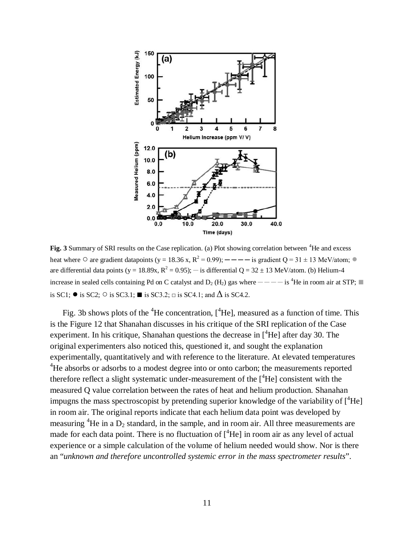

Fig. 3 Summary of SRI results on the Case replication. (a) Plot showing correlation between <sup>4</sup>He and excess heat where  $\circ$  are gradient datapoints (y = 18.36 x, R<sup>2</sup> = 0.99); — — — is gradient Q = 31 ± 13 MeV/atom;  $\bullet$ are differential data points (y = 18.89x,  $R^2 = 0.95$ ); — is differential Q = 32 ± 13 MeV/atom. (b) Helium-4 increase in sealed cells containing Pd on C catalyst and  $D_2$  (H<sub>2</sub>) gas where — — — is <sup>4</sup>He in room air at STP; is SC1;  $\bullet$  is SC2;  $\circ$  is SC3.1; ■ is SC3.2;  $\Box$  is SC4.1; and  $\Delta$  is SC4.2.

Fig. 3b shows plots of the <sup>4</sup>He concentration,  $[$ <sup>4</sup>He], measured as a function of time. This is the Figure 12 that Shanahan discusses in his critique of the SRI replication of the Case experiment. In his critique, Shanahan questions the decrease in  $[4He]$  after day 30. The original experimenters also noticed this, questioned it, and sought the explanation experimentally, quantitatively and with reference to the literature. At elevated temperatures <sup>4</sup>He absorbs or adsorbs to a modest degree into or onto carbon; the measurements reported therefore reflect a slight systematic under-measurement of the  $[4He]$  consistent with the measured Q value correlation between the rates of heat and helium production. Shanahan impugns the mass spectroscopist by pretending superior knowledge of the variability of  $\int^4He$ in room air. The original reports indicate that each helium data point was developed by measuring  ${}^{4}$ He in a D<sub>2</sub> standard, in the sample, and in room air. All three measurements are made for each data point. There is no fluctuation of  $\int^4$ He] in room air as any level of actual experience or a simple calculation of the volume of helium needed would show. Nor is there an "*unknown and therefore uncontrolled systemic error in the mass spectrometer results*".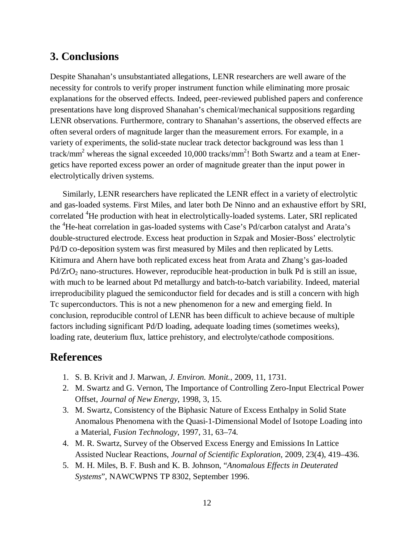# **3. Conclusions**

Despite Shanahan's unsubstantiated allegations, LENR researchers are well aware of the necessity for controls to verify proper instrument function while eliminating more prosaic explanations for the observed effects. Indeed, peer-reviewed published papers and conference presentations have long disproved Shanahan's chemical/mechanical suppositions regarding LENR observations. Furthermore, contrary to Shanahan's assertions, the observed effects are often several orders of magnitude larger than the measurement errors. For example, in a variety of experiments, the solid-state nuclear track detector background was less than 1 track/mm<sup>2</sup> whereas the signal exceeded 10,000 tracks/mm<sup>2</sup>! Both Swartz and a team at Energetics have reported excess power an order of magnitude greater than the input power in electrolytically driven systems.

Similarly, LENR researchers have replicated the LENR effect in a variety of electrolytic and gas-loaded systems. First Miles, and later both De Ninno and an exhaustive effort by SRI, correlated <sup>4</sup>He production with heat in electrolytically-loaded systems. Later, SRI replicated the <sup>4</sup>He-heat correlation in gas-loaded systems with Case's Pd/carbon catalyst and Arata's double-structured electrode. Excess heat production in Szpak and Mosier-Boss' electrolytic Pd/D co-deposition system was first measured by Miles and then replicated by Letts. Kitimura and Ahern have both replicated excess heat from Arata and Zhang's gas-loaded Pd/ZrO<sub>2</sub> nano-structures. However, reproducible heat-production in bulk Pd is still an issue, with much to be learned about Pd metallurgy and batch-to-batch variability. Indeed, material irreproducibility plagued the semiconductor field for decades and is still a concern with high Tc superconductors. This is not a new phenomenon for a new and emerging field. In conclusion, reproducible control of LENR has been difficult to achieve because of multiple factors including significant Pd/D loading, adequate loading times (sometimes weeks), loading rate, deuterium flux, lattice prehistory, and electrolyte/cathode compositions.

## **References**

- 1. S. B. Krivit and J. Marwan, *J. Environ. Monit.*, 2009, 11, 1731.
- 2. M. Swartz and G. Vernon, The Importance of Controlling Zero-Input Electrical Power Offset, *Journal of New Energy*, 1998, 3, 15.
- 3. M. Swartz, Consistency of the Biphasic Nature of Excess Enthalpy in Solid State Anomalous Phenomena with the Quasi-1-Dimensional Model of Isotope Loading into a Material, *Fusion Technology*, 1997, 31, 63–74.
- 4. M. R. Swartz, Survey of the Observed Excess Energy and Emissions In Lattice Assisted Nuclear Reactions, *Journal of Scientific Exploration*, 2009, 23(4), 419–436.
- 5. M. H. Miles, B. F. Bush and K. B. Johnson, "*Anomalous Effects in Deuterated Systems*", NAWCWPNS TP 8302, September 1996.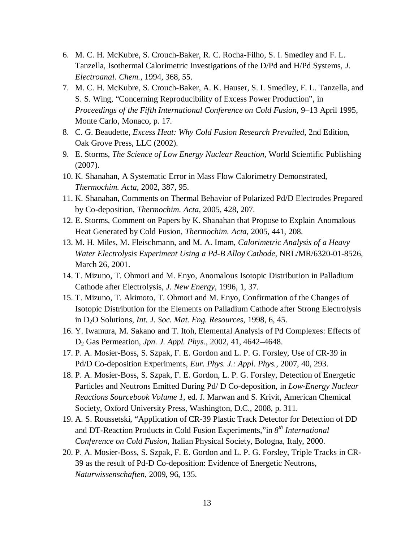- 6. M. C. H. McKubre, S. Crouch-Baker, R. C. Rocha-Filho, S. I. Smedley and F. L. Tanzella, Isothermal Calorimetric Investigations of the D/Pd and H/Pd Systems, *J. Electroanal. Chem.*, 1994, 368, 55.
- 7. M. C. H. McKubre, S. Crouch-Baker, A. K. Hauser, S. I. Smedley, F. L. Tanzella, and S. S. Wing, "Concerning Reproducibility of Excess Power Production", in *Proceedings of the Fifth International Conference on Cold Fusion*, 9–13 April 1995, Monte Carlo, Monaco, p. 17.
- 8. C. G. Beaudette, *Excess Heat: Why Cold Fusion Research Prevailed*, 2nd Edition, Oak Grove Press, LLC (2002).
- 9. E. Storms, *The Science of Low Energy Nuclear Reaction*, World Scientific Publishing (2007).
- 10. K. Shanahan, A Systematic Error in Mass Flow Calorimetry Demonstrated, *Thermochim. Acta*, 2002, 387, 95.
- 11. K. Shanahan, Comments on Thermal Behavior of Polarized Pd/D Electrodes Prepared by Co-deposition, *Thermochim. Acta*, 2005, 428, 207.
- 12. E. Storms, Comment on Papers by K. Shanahan that Propose to Explain Anomalous Heat Generated by Cold Fusion, *Thermochim. Acta*, 2005, 441, 208.
- 13. M. H. Miles, M. Fleischmann, and M. A. Imam, *Calorimetric Analysis of a Heavy Water Electrolysis Experiment Using a Pd-B Alloy Cathode*, NRL/MR/6320-01-8526, March 26, 2001.
- 14. T. Mizuno, T. Ohmori and M. Enyo, Anomalous Isotopic Distribution in Palladium Cathode after Electrolysis, *J. New Energy*, 1996, 1, 37.
- 15. T. Mizuno, T. Akimoto, T. Ohmori and M. Enyo, Confirmation of the Changes of Isotopic Distribution for the Elements on Palladium Cathode after Strong Electrolysis in D2O Solutions, *Int. J. Soc. Mat. Eng. Resources*, 1998, 6, 45.
- 16. Y. Iwamura, M. Sakano and T. Itoh, Elemental Analysis of Pd Complexes: Effects of D<sup>2</sup> Gas Permeation, *Jpn. J. Appl. Phys.*, 2002, 41, 4642–4648.
- 17. P. A. Mosier-Boss, S. Szpak, F. E. Gordon and L. P. G. Forsley, Use of CR-39 in Pd/D Co-deposition Experiments, *Eur. Phys. J.: Appl. Phys.*, 2007, 40, 293.
- 18. P. A. Mosier-Boss, S. Szpak, F. E. Gordon, L. P. G. Forsley, Detection of Energetic Particles and Neutrons Emitted During Pd/ D Co-deposition, in *Low-Energy Nuclear Reactions Sourcebook Volume 1*, ed. J. Marwan and S. Krivit, American Chemical Society, Oxford University Press, Washington, D.C., 2008, p. 311.
- 19. A. S. Roussetski, "Application of CR-39 Plastic Track Detector for Detection of DD and DT-Reaction Products in Cold Fusion Experiments,"in *8 th International Conference on Cold Fusion*, Italian Physical Society, Bologna, Italy, 2000.
- 20. P. A. Mosier-Boss, S. Szpak, F. E. Gordon and L. P. G. Forsley, Triple Tracks in CR-39 as the result of Pd-D Co-deposition: Evidence of Energetic Neutrons, *Naturwissenschaften*, 2009, 96, 135.